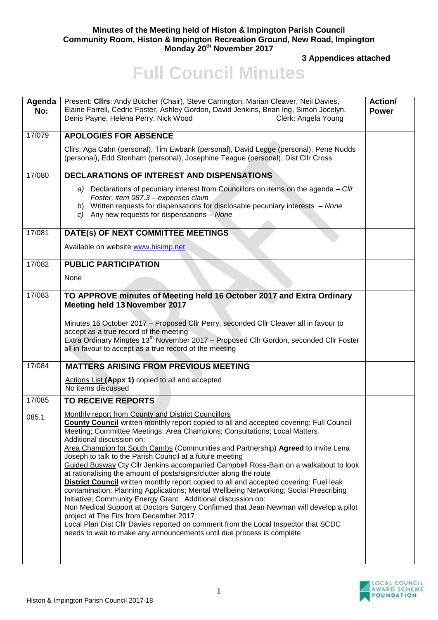## **Minutes of the Meeting held of Histon & Impington Parish Council Community Room, Histon & Impington Recreation Ground, New Road, Impington Monday 20th November 2017**

**3 Appendices attached** 

## **Full Council Minutes**

| Agenda<br>No: | Present: Clirs: Andy Butcher (Chair), Steve Carrington, Marian Cleaver, Neil Davies,<br>Elaine Farrell, Cedric Foster, Ashley Gordon, David Jenkins, Brian Ing, Simon Jocelyn,<br>Denis Payne, Helena Perry, Nick Wood<br>Clerk: Angela Young                                                                                                                                                                                                                                                                                                                                                                                                                                                                                                                                                                                                                                                                                                                                                                                                                                                                                          | Action/<br><b>Power</b> |
|---------------|----------------------------------------------------------------------------------------------------------------------------------------------------------------------------------------------------------------------------------------------------------------------------------------------------------------------------------------------------------------------------------------------------------------------------------------------------------------------------------------------------------------------------------------------------------------------------------------------------------------------------------------------------------------------------------------------------------------------------------------------------------------------------------------------------------------------------------------------------------------------------------------------------------------------------------------------------------------------------------------------------------------------------------------------------------------------------------------------------------------------------------------|-------------------------|
| 17/079        | <b>APOLOGIES FOR ABSENCE</b>                                                                                                                                                                                                                                                                                                                                                                                                                                                                                                                                                                                                                                                                                                                                                                                                                                                                                                                                                                                                                                                                                                           |                         |
|               | Cllrs: Aga Cahn (personal), Tim Ewbank (personal), David Legge (personal), Pene Nudds<br>(personal), Edd Stonham (personal), Josephine Teague (personal); Dist Cllr Cross                                                                                                                                                                                                                                                                                                                                                                                                                                                                                                                                                                                                                                                                                                                                                                                                                                                                                                                                                              |                         |
| 17/080        | <b>DECLARATIONS OF INTEREST AND DISPENSATIONS</b>                                                                                                                                                                                                                                                                                                                                                                                                                                                                                                                                                                                                                                                                                                                                                                                                                                                                                                                                                                                                                                                                                      |                         |
|               | a) Declarations of pecuniary interest from Councillors on items on the agenda - Cllr<br>Foster, item 087.3 - expenses claim<br>b) Written requests for dispensations for disclosable pecuniary interests - None<br>c) Any new requests for dispensations - None                                                                                                                                                                                                                                                                                                                                                                                                                                                                                                                                                                                                                                                                                                                                                                                                                                                                        |                         |
| 17/081        | DATE(s) OF NEXT COMMITTEE MEETINGS                                                                                                                                                                                                                                                                                                                                                                                                                                                                                                                                                                                                                                                                                                                                                                                                                                                                                                                                                                                                                                                                                                     |                         |
|               | Available on website www.hisimp.net                                                                                                                                                                                                                                                                                                                                                                                                                                                                                                                                                                                                                                                                                                                                                                                                                                                                                                                                                                                                                                                                                                    |                         |
| 17/082        | <b>PUBLIC PARTICIPATION</b>                                                                                                                                                                                                                                                                                                                                                                                                                                                                                                                                                                                                                                                                                                                                                                                                                                                                                                                                                                                                                                                                                                            |                         |
|               | None                                                                                                                                                                                                                                                                                                                                                                                                                                                                                                                                                                                                                                                                                                                                                                                                                                                                                                                                                                                                                                                                                                                                   |                         |
| 17/083        | TO APPROVE minutes of Meeting held 16 October 2017 and Extra Ordinary<br>Meeting held 13 November 2017                                                                                                                                                                                                                                                                                                                                                                                                                                                                                                                                                                                                                                                                                                                                                                                                                                                                                                                                                                                                                                 |                         |
|               | Minutes 16 October 2017 - Proposed Cllr Perry, seconded Cllr Cleaver all in favour to<br>accept as a true record of the meeting<br>Extra Ordinary Minutes 13 <sup>th</sup> November 2017 - Proposed Cllr Gordon, seconded Cllr Foster<br>all in favour to accept as a true record of the meeting                                                                                                                                                                                                                                                                                                                                                                                                                                                                                                                                                                                                                                                                                                                                                                                                                                       |                         |
| 17/084        | <b>MATTERS ARISING FROM PREVIOUS MEETING</b>                                                                                                                                                                                                                                                                                                                                                                                                                                                                                                                                                                                                                                                                                                                                                                                                                                                                                                                                                                                                                                                                                           |                         |
|               | Actions List (Appx 1) copied to all and accepted<br>No items discussed                                                                                                                                                                                                                                                                                                                                                                                                                                                                                                                                                                                                                                                                                                                                                                                                                                                                                                                                                                                                                                                                 |                         |
| 17/085        | <b>TO RECEIVE REPORTS</b>                                                                                                                                                                                                                                                                                                                                                                                                                                                                                                                                                                                                                                                                                                                                                                                                                                                                                                                                                                                                                                                                                                              |                         |
| 085.1         | Monthly report from County and District Councillors<br>County Council written monthly report copied to all and accepted covering: Full Council<br>Meeting; Committee Meetings; Area Champions; Consultations; Local Matters.<br>Additional discussion on:<br>Area Champion for South Cambs (Communities and Partnership) Agreed to invite Lena<br>Joseph to talk to the Parish Council at a future meeting<br>Guided Busway Cty Cllr Jenkins accompanied Campbell Ross-Bain on a walkabout to look<br>at rationalising the amount of posts/signs/clutter along the route<br><b>District Council</b> written monthly report copied to all and accepted covering: Fuel leak<br>contamination; Planning Applications; Mental Wellbeing Networking; Social Prescribing<br>Initiative; Community Energy Grant. Additional discussion on:<br>Non Medical Support at Doctors Surgery Confirmed that Jean Newman will develop a pilot<br>project at The Firs from December 2017<br>Local Plan Dist Cllr Davies reported on comment from the Local Inspector that SCDC<br>needs to wait to make any announcements until due process is complete |                         |

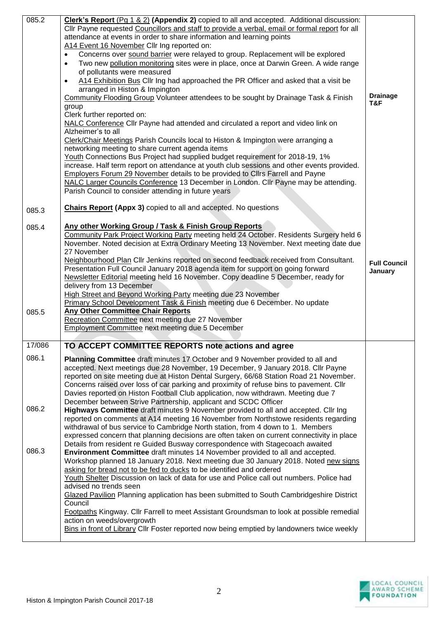| Cllr Payne requested Councillors and staff to provide a verbal, email or formal report for all<br>attendance at events in order to share information and learning points<br>A14 Event 16 November Cllr Ing reported on:<br>Concerns over sound barrier were relayed to group. Replacement will be explored<br>$\bullet$<br>Two new pollution monitoring sites were in place, once at Darwin Green. A wide range<br>$\bullet$<br>of pollutants were measured<br>A14 Exhibition Bus Cllr Ing had approached the PR Officer and asked that a visit be<br>$\bullet$<br>arranged in Histon & Impington<br><b>Drainage</b><br>Community Flooding Group Volunteer attendees to be sought by Drainage Task & Finish<br>T&F<br>group<br>Clerk further reported on:<br>NALC Conference Cllr Payne had attended and circulated a report and video link on<br>Alzheimer's to all<br>Clerk/Chair Meetings Parish Councils local to Histon & Impington were arranging a<br>networking meeting to share current agenda items<br>Youth Connections Bus Project had supplied budget requirement for 2018-19, 1%<br>increase. Half term report on attendance at youth club sessions and other events provided.<br>Employers Forum 29 November details to be provided to Cllrs Farrell and Payne<br>NALC Larger Councils Conference 13 December in London. Cllr Payne may be attending.<br>Parish Council to consider attending in future years<br><b>Chairs Report (Appx 3)</b> copied to all and accepted. No questions<br>085.3<br>Any other Working Group / Task & Finish Group Reports<br>085.4<br>Community Park Project Working Party meeting held 24 October. Residents Surgery held 6<br>November. Noted decision at Extra Ordinary Meeting 13 November. Next meeting date due<br>27 November<br>Neighbourhood Plan Cllr Jenkins reported on second feedback received from Consultant.<br><b>Full Council</b><br>Presentation Full Council January 2018 agenda item for support on going forward<br>January<br>Newsletter Editorial meeting held 16 November. Copy deadline 5 December, ready for<br>delivery from 13 December<br>High Street and Beyond Working Party meeting due 23 November<br>Primary School Development Task & Finish meeting due 6 December. No update<br><b>Any Other Committee Chair Reports</b><br>085.5<br>Recreation Committee next meeting due 27 November<br>Employment Committee next meeting due 5 December<br>TO ACCEPT COMMITTEE REPORTS note actions and agree<br>17/086<br>086.1<br>Planning Committee draft minutes 17 October and 9 November provided to all and<br>accepted. Next meetings due 28 November, 19 December, 9 January 2018. Cllr Payne<br>reported on site meeting due at Histon Dental Surgery, 66/68 Station Road 21 November.<br>Concerns raised over loss of car parking and proximity of refuse bins to pavement. Cllr<br>Davies reported on Histon Football Club application, now withdrawn. Meeting due 7<br>December between Strive Partnership, applicant and SCDC Officer<br>086.2<br>Highways Committee draft minutes 9 November provided to all and accepted. Cllr Ing<br>reported on comments at A14 meeting 16 November from Northstowe residents regarding<br>withdrawal of bus service to Cambridge North station, from 4 down to 1. Members<br>expressed concern that planning decisions are often taken on current connectivity in place |
|-----------------------------------------------------------------------------------------------------------------------------------------------------------------------------------------------------------------------------------------------------------------------------------------------------------------------------------------------------------------------------------------------------------------------------------------------------------------------------------------------------------------------------------------------------------------------------------------------------------------------------------------------------------------------------------------------------------------------------------------------------------------------------------------------------------------------------------------------------------------------------------------------------------------------------------------------------------------------------------------------------------------------------------------------------------------------------------------------------------------------------------------------------------------------------------------------------------------------------------------------------------------------------------------------------------------------------------------------------------------------------------------------------------------------------------------------------------------------------------------------------------------------------------------------------------------------------------------------------------------------------------------------------------------------------------------------------------------------------------------------------------------------------------------------------------------------------------------------------------------------------------------------------------------------------------------------------------------------------------------------------------------------------------------------------------------------------------------------------------------------------------------------------------------------------------------------------------------------------------------------------------------------------------------------------------------------------------------------------------------------------------------------------------------------------------------------------------------------------------------------------------------------------------------------------------------------------------------------------------------------------------------------------------------------------------------------------------------------------------------------------------------------------------------------------------------------------------------------------------------------------------------------------------------------------------------------------------------------------------------------------------------------------------------------------------------------------------------------------------------------------------------------------------------------------------------------------------------------------------------------------------------------------------------------------------------------------------------------------------------------------------------------------|
|                                                                                                                                                                                                                                                                                                                                                                                                                                                                                                                                                                                                                                                                                                                                                                                                                                                                                                                                                                                                                                                                                                                                                                                                                                                                                                                                                                                                                                                                                                                                                                                                                                                                                                                                                                                                                                                                                                                                                                                                                                                                                                                                                                                                                                                                                                                                                                                                                                                                                                                                                                                                                                                                                                                                                                                                                                                                                                                                                                                                                                                                                                                                                                                                                                                                                                                                                                                                     |
|                                                                                                                                                                                                                                                                                                                                                                                                                                                                                                                                                                                                                                                                                                                                                                                                                                                                                                                                                                                                                                                                                                                                                                                                                                                                                                                                                                                                                                                                                                                                                                                                                                                                                                                                                                                                                                                                                                                                                                                                                                                                                                                                                                                                                                                                                                                                                                                                                                                                                                                                                                                                                                                                                                                                                                                                                                                                                                                                                                                                                                                                                                                                                                                                                                                                                                                                                                                                     |
|                                                                                                                                                                                                                                                                                                                                                                                                                                                                                                                                                                                                                                                                                                                                                                                                                                                                                                                                                                                                                                                                                                                                                                                                                                                                                                                                                                                                                                                                                                                                                                                                                                                                                                                                                                                                                                                                                                                                                                                                                                                                                                                                                                                                                                                                                                                                                                                                                                                                                                                                                                                                                                                                                                                                                                                                                                                                                                                                                                                                                                                                                                                                                                                                                                                                                                                                                                                                     |
|                                                                                                                                                                                                                                                                                                                                                                                                                                                                                                                                                                                                                                                                                                                                                                                                                                                                                                                                                                                                                                                                                                                                                                                                                                                                                                                                                                                                                                                                                                                                                                                                                                                                                                                                                                                                                                                                                                                                                                                                                                                                                                                                                                                                                                                                                                                                                                                                                                                                                                                                                                                                                                                                                                                                                                                                                                                                                                                                                                                                                                                                                                                                                                                                                                                                                                                                                                                                     |
|                                                                                                                                                                                                                                                                                                                                                                                                                                                                                                                                                                                                                                                                                                                                                                                                                                                                                                                                                                                                                                                                                                                                                                                                                                                                                                                                                                                                                                                                                                                                                                                                                                                                                                                                                                                                                                                                                                                                                                                                                                                                                                                                                                                                                                                                                                                                                                                                                                                                                                                                                                                                                                                                                                                                                                                                                                                                                                                                                                                                                                                                                                                                                                                                                                                                                                                                                                                                     |
|                                                                                                                                                                                                                                                                                                                                                                                                                                                                                                                                                                                                                                                                                                                                                                                                                                                                                                                                                                                                                                                                                                                                                                                                                                                                                                                                                                                                                                                                                                                                                                                                                                                                                                                                                                                                                                                                                                                                                                                                                                                                                                                                                                                                                                                                                                                                                                                                                                                                                                                                                                                                                                                                                                                                                                                                                                                                                                                                                                                                                                                                                                                                                                                                                                                                                                                                                                                                     |
|                                                                                                                                                                                                                                                                                                                                                                                                                                                                                                                                                                                                                                                                                                                                                                                                                                                                                                                                                                                                                                                                                                                                                                                                                                                                                                                                                                                                                                                                                                                                                                                                                                                                                                                                                                                                                                                                                                                                                                                                                                                                                                                                                                                                                                                                                                                                                                                                                                                                                                                                                                                                                                                                                                                                                                                                                                                                                                                                                                                                                                                                                                                                                                                                                                                                                                                                                                                                     |
|                                                                                                                                                                                                                                                                                                                                                                                                                                                                                                                                                                                                                                                                                                                                                                                                                                                                                                                                                                                                                                                                                                                                                                                                                                                                                                                                                                                                                                                                                                                                                                                                                                                                                                                                                                                                                                                                                                                                                                                                                                                                                                                                                                                                                                                                                                                                                                                                                                                                                                                                                                                                                                                                                                                                                                                                                                                                                                                                                                                                                                                                                                                                                                                                                                                                                                                                                                                                     |
|                                                                                                                                                                                                                                                                                                                                                                                                                                                                                                                                                                                                                                                                                                                                                                                                                                                                                                                                                                                                                                                                                                                                                                                                                                                                                                                                                                                                                                                                                                                                                                                                                                                                                                                                                                                                                                                                                                                                                                                                                                                                                                                                                                                                                                                                                                                                                                                                                                                                                                                                                                                                                                                                                                                                                                                                                                                                                                                                                                                                                                                                                                                                                                                                                                                                                                                                                                                                     |
|                                                                                                                                                                                                                                                                                                                                                                                                                                                                                                                                                                                                                                                                                                                                                                                                                                                                                                                                                                                                                                                                                                                                                                                                                                                                                                                                                                                                                                                                                                                                                                                                                                                                                                                                                                                                                                                                                                                                                                                                                                                                                                                                                                                                                                                                                                                                                                                                                                                                                                                                                                                                                                                                                                                                                                                                                                                                                                                                                                                                                                                                                                                                                                                                                                                                                                                                                                                                     |
|                                                                                                                                                                                                                                                                                                                                                                                                                                                                                                                                                                                                                                                                                                                                                                                                                                                                                                                                                                                                                                                                                                                                                                                                                                                                                                                                                                                                                                                                                                                                                                                                                                                                                                                                                                                                                                                                                                                                                                                                                                                                                                                                                                                                                                                                                                                                                                                                                                                                                                                                                                                                                                                                                                                                                                                                                                                                                                                                                                                                                                                                                                                                                                                                                                                                                                                                                                                                     |
|                                                                                                                                                                                                                                                                                                                                                                                                                                                                                                                                                                                                                                                                                                                                                                                                                                                                                                                                                                                                                                                                                                                                                                                                                                                                                                                                                                                                                                                                                                                                                                                                                                                                                                                                                                                                                                                                                                                                                                                                                                                                                                                                                                                                                                                                                                                                                                                                                                                                                                                                                                                                                                                                                                                                                                                                                                                                                                                                                                                                                                                                                                                                                                                                                                                                                                                                                                                                     |
|                                                                                                                                                                                                                                                                                                                                                                                                                                                                                                                                                                                                                                                                                                                                                                                                                                                                                                                                                                                                                                                                                                                                                                                                                                                                                                                                                                                                                                                                                                                                                                                                                                                                                                                                                                                                                                                                                                                                                                                                                                                                                                                                                                                                                                                                                                                                                                                                                                                                                                                                                                                                                                                                                                                                                                                                                                                                                                                                                                                                                                                                                                                                                                                                                                                                                                                                                                                                     |
|                                                                                                                                                                                                                                                                                                                                                                                                                                                                                                                                                                                                                                                                                                                                                                                                                                                                                                                                                                                                                                                                                                                                                                                                                                                                                                                                                                                                                                                                                                                                                                                                                                                                                                                                                                                                                                                                                                                                                                                                                                                                                                                                                                                                                                                                                                                                                                                                                                                                                                                                                                                                                                                                                                                                                                                                                                                                                                                                                                                                                                                                                                                                                                                                                                                                                                                                                                                                     |
|                                                                                                                                                                                                                                                                                                                                                                                                                                                                                                                                                                                                                                                                                                                                                                                                                                                                                                                                                                                                                                                                                                                                                                                                                                                                                                                                                                                                                                                                                                                                                                                                                                                                                                                                                                                                                                                                                                                                                                                                                                                                                                                                                                                                                                                                                                                                                                                                                                                                                                                                                                                                                                                                                                                                                                                                                                                                                                                                                                                                                                                                                                                                                                                                                                                                                                                                                                                                     |
|                                                                                                                                                                                                                                                                                                                                                                                                                                                                                                                                                                                                                                                                                                                                                                                                                                                                                                                                                                                                                                                                                                                                                                                                                                                                                                                                                                                                                                                                                                                                                                                                                                                                                                                                                                                                                                                                                                                                                                                                                                                                                                                                                                                                                                                                                                                                                                                                                                                                                                                                                                                                                                                                                                                                                                                                                                                                                                                                                                                                                                                                                                                                                                                                                                                                                                                                                                                                     |
|                                                                                                                                                                                                                                                                                                                                                                                                                                                                                                                                                                                                                                                                                                                                                                                                                                                                                                                                                                                                                                                                                                                                                                                                                                                                                                                                                                                                                                                                                                                                                                                                                                                                                                                                                                                                                                                                                                                                                                                                                                                                                                                                                                                                                                                                                                                                                                                                                                                                                                                                                                                                                                                                                                                                                                                                                                                                                                                                                                                                                                                                                                                                                                                                                                                                                                                                                                                                     |
|                                                                                                                                                                                                                                                                                                                                                                                                                                                                                                                                                                                                                                                                                                                                                                                                                                                                                                                                                                                                                                                                                                                                                                                                                                                                                                                                                                                                                                                                                                                                                                                                                                                                                                                                                                                                                                                                                                                                                                                                                                                                                                                                                                                                                                                                                                                                                                                                                                                                                                                                                                                                                                                                                                                                                                                                                                                                                                                                                                                                                                                                                                                                                                                                                                                                                                                                                                                                     |
|                                                                                                                                                                                                                                                                                                                                                                                                                                                                                                                                                                                                                                                                                                                                                                                                                                                                                                                                                                                                                                                                                                                                                                                                                                                                                                                                                                                                                                                                                                                                                                                                                                                                                                                                                                                                                                                                                                                                                                                                                                                                                                                                                                                                                                                                                                                                                                                                                                                                                                                                                                                                                                                                                                                                                                                                                                                                                                                                                                                                                                                                                                                                                                                                                                                                                                                                                                                                     |
|                                                                                                                                                                                                                                                                                                                                                                                                                                                                                                                                                                                                                                                                                                                                                                                                                                                                                                                                                                                                                                                                                                                                                                                                                                                                                                                                                                                                                                                                                                                                                                                                                                                                                                                                                                                                                                                                                                                                                                                                                                                                                                                                                                                                                                                                                                                                                                                                                                                                                                                                                                                                                                                                                                                                                                                                                                                                                                                                                                                                                                                                                                                                                                                                                                                                                                                                                                                                     |
|                                                                                                                                                                                                                                                                                                                                                                                                                                                                                                                                                                                                                                                                                                                                                                                                                                                                                                                                                                                                                                                                                                                                                                                                                                                                                                                                                                                                                                                                                                                                                                                                                                                                                                                                                                                                                                                                                                                                                                                                                                                                                                                                                                                                                                                                                                                                                                                                                                                                                                                                                                                                                                                                                                                                                                                                                                                                                                                                                                                                                                                                                                                                                                                                                                                                                                                                                                                                     |
|                                                                                                                                                                                                                                                                                                                                                                                                                                                                                                                                                                                                                                                                                                                                                                                                                                                                                                                                                                                                                                                                                                                                                                                                                                                                                                                                                                                                                                                                                                                                                                                                                                                                                                                                                                                                                                                                                                                                                                                                                                                                                                                                                                                                                                                                                                                                                                                                                                                                                                                                                                                                                                                                                                                                                                                                                                                                                                                                                                                                                                                                                                                                                                                                                                                                                                                                                                                                     |
|                                                                                                                                                                                                                                                                                                                                                                                                                                                                                                                                                                                                                                                                                                                                                                                                                                                                                                                                                                                                                                                                                                                                                                                                                                                                                                                                                                                                                                                                                                                                                                                                                                                                                                                                                                                                                                                                                                                                                                                                                                                                                                                                                                                                                                                                                                                                                                                                                                                                                                                                                                                                                                                                                                                                                                                                                                                                                                                                                                                                                                                                                                                                                                                                                                                                                                                                                                                                     |
|                                                                                                                                                                                                                                                                                                                                                                                                                                                                                                                                                                                                                                                                                                                                                                                                                                                                                                                                                                                                                                                                                                                                                                                                                                                                                                                                                                                                                                                                                                                                                                                                                                                                                                                                                                                                                                                                                                                                                                                                                                                                                                                                                                                                                                                                                                                                                                                                                                                                                                                                                                                                                                                                                                                                                                                                                                                                                                                                                                                                                                                                                                                                                                                                                                                                                                                                                                                                     |
|                                                                                                                                                                                                                                                                                                                                                                                                                                                                                                                                                                                                                                                                                                                                                                                                                                                                                                                                                                                                                                                                                                                                                                                                                                                                                                                                                                                                                                                                                                                                                                                                                                                                                                                                                                                                                                                                                                                                                                                                                                                                                                                                                                                                                                                                                                                                                                                                                                                                                                                                                                                                                                                                                                                                                                                                                                                                                                                                                                                                                                                                                                                                                                                                                                                                                                                                                                                                     |
|                                                                                                                                                                                                                                                                                                                                                                                                                                                                                                                                                                                                                                                                                                                                                                                                                                                                                                                                                                                                                                                                                                                                                                                                                                                                                                                                                                                                                                                                                                                                                                                                                                                                                                                                                                                                                                                                                                                                                                                                                                                                                                                                                                                                                                                                                                                                                                                                                                                                                                                                                                                                                                                                                                                                                                                                                                                                                                                                                                                                                                                                                                                                                                                                                                                                                                                                                                                                     |
|                                                                                                                                                                                                                                                                                                                                                                                                                                                                                                                                                                                                                                                                                                                                                                                                                                                                                                                                                                                                                                                                                                                                                                                                                                                                                                                                                                                                                                                                                                                                                                                                                                                                                                                                                                                                                                                                                                                                                                                                                                                                                                                                                                                                                                                                                                                                                                                                                                                                                                                                                                                                                                                                                                                                                                                                                                                                                                                                                                                                                                                                                                                                                                                                                                                                                                                                                                                                     |
|                                                                                                                                                                                                                                                                                                                                                                                                                                                                                                                                                                                                                                                                                                                                                                                                                                                                                                                                                                                                                                                                                                                                                                                                                                                                                                                                                                                                                                                                                                                                                                                                                                                                                                                                                                                                                                                                                                                                                                                                                                                                                                                                                                                                                                                                                                                                                                                                                                                                                                                                                                                                                                                                                                                                                                                                                                                                                                                                                                                                                                                                                                                                                                                                                                                                                                                                                                                                     |
|                                                                                                                                                                                                                                                                                                                                                                                                                                                                                                                                                                                                                                                                                                                                                                                                                                                                                                                                                                                                                                                                                                                                                                                                                                                                                                                                                                                                                                                                                                                                                                                                                                                                                                                                                                                                                                                                                                                                                                                                                                                                                                                                                                                                                                                                                                                                                                                                                                                                                                                                                                                                                                                                                                                                                                                                                                                                                                                                                                                                                                                                                                                                                                                                                                                                                                                                                                                                     |
|                                                                                                                                                                                                                                                                                                                                                                                                                                                                                                                                                                                                                                                                                                                                                                                                                                                                                                                                                                                                                                                                                                                                                                                                                                                                                                                                                                                                                                                                                                                                                                                                                                                                                                                                                                                                                                                                                                                                                                                                                                                                                                                                                                                                                                                                                                                                                                                                                                                                                                                                                                                                                                                                                                                                                                                                                                                                                                                                                                                                                                                                                                                                                                                                                                                                                                                                                                                                     |
|                                                                                                                                                                                                                                                                                                                                                                                                                                                                                                                                                                                                                                                                                                                                                                                                                                                                                                                                                                                                                                                                                                                                                                                                                                                                                                                                                                                                                                                                                                                                                                                                                                                                                                                                                                                                                                                                                                                                                                                                                                                                                                                                                                                                                                                                                                                                                                                                                                                                                                                                                                                                                                                                                                                                                                                                                                                                                                                                                                                                                                                                                                                                                                                                                                                                                                                                                                                                     |
|                                                                                                                                                                                                                                                                                                                                                                                                                                                                                                                                                                                                                                                                                                                                                                                                                                                                                                                                                                                                                                                                                                                                                                                                                                                                                                                                                                                                                                                                                                                                                                                                                                                                                                                                                                                                                                                                                                                                                                                                                                                                                                                                                                                                                                                                                                                                                                                                                                                                                                                                                                                                                                                                                                                                                                                                                                                                                                                                                                                                                                                                                                                                                                                                                                                                                                                                                                                                     |
|                                                                                                                                                                                                                                                                                                                                                                                                                                                                                                                                                                                                                                                                                                                                                                                                                                                                                                                                                                                                                                                                                                                                                                                                                                                                                                                                                                                                                                                                                                                                                                                                                                                                                                                                                                                                                                                                                                                                                                                                                                                                                                                                                                                                                                                                                                                                                                                                                                                                                                                                                                                                                                                                                                                                                                                                                                                                                                                                                                                                                                                                                                                                                                                                                                                                                                                                                                                                     |
|                                                                                                                                                                                                                                                                                                                                                                                                                                                                                                                                                                                                                                                                                                                                                                                                                                                                                                                                                                                                                                                                                                                                                                                                                                                                                                                                                                                                                                                                                                                                                                                                                                                                                                                                                                                                                                                                                                                                                                                                                                                                                                                                                                                                                                                                                                                                                                                                                                                                                                                                                                                                                                                                                                                                                                                                                                                                                                                                                                                                                                                                                                                                                                                                                                                                                                                                                                                                     |
|                                                                                                                                                                                                                                                                                                                                                                                                                                                                                                                                                                                                                                                                                                                                                                                                                                                                                                                                                                                                                                                                                                                                                                                                                                                                                                                                                                                                                                                                                                                                                                                                                                                                                                                                                                                                                                                                                                                                                                                                                                                                                                                                                                                                                                                                                                                                                                                                                                                                                                                                                                                                                                                                                                                                                                                                                                                                                                                                                                                                                                                                                                                                                                                                                                                                                                                                                                                                     |
|                                                                                                                                                                                                                                                                                                                                                                                                                                                                                                                                                                                                                                                                                                                                                                                                                                                                                                                                                                                                                                                                                                                                                                                                                                                                                                                                                                                                                                                                                                                                                                                                                                                                                                                                                                                                                                                                                                                                                                                                                                                                                                                                                                                                                                                                                                                                                                                                                                                                                                                                                                                                                                                                                                                                                                                                                                                                                                                                                                                                                                                                                                                                                                                                                                                                                                                                                                                                     |
|                                                                                                                                                                                                                                                                                                                                                                                                                                                                                                                                                                                                                                                                                                                                                                                                                                                                                                                                                                                                                                                                                                                                                                                                                                                                                                                                                                                                                                                                                                                                                                                                                                                                                                                                                                                                                                                                                                                                                                                                                                                                                                                                                                                                                                                                                                                                                                                                                                                                                                                                                                                                                                                                                                                                                                                                                                                                                                                                                                                                                                                                                                                                                                                                                                                                                                                                                                                                     |
|                                                                                                                                                                                                                                                                                                                                                                                                                                                                                                                                                                                                                                                                                                                                                                                                                                                                                                                                                                                                                                                                                                                                                                                                                                                                                                                                                                                                                                                                                                                                                                                                                                                                                                                                                                                                                                                                                                                                                                                                                                                                                                                                                                                                                                                                                                                                                                                                                                                                                                                                                                                                                                                                                                                                                                                                                                                                                                                                                                                                                                                                                                                                                                                                                                                                                                                                                                                                     |
|                                                                                                                                                                                                                                                                                                                                                                                                                                                                                                                                                                                                                                                                                                                                                                                                                                                                                                                                                                                                                                                                                                                                                                                                                                                                                                                                                                                                                                                                                                                                                                                                                                                                                                                                                                                                                                                                                                                                                                                                                                                                                                                                                                                                                                                                                                                                                                                                                                                                                                                                                                                                                                                                                                                                                                                                                                                                                                                                                                                                                                                                                                                                                                                                                                                                                                                                                                                                     |
|                                                                                                                                                                                                                                                                                                                                                                                                                                                                                                                                                                                                                                                                                                                                                                                                                                                                                                                                                                                                                                                                                                                                                                                                                                                                                                                                                                                                                                                                                                                                                                                                                                                                                                                                                                                                                                                                                                                                                                                                                                                                                                                                                                                                                                                                                                                                                                                                                                                                                                                                                                                                                                                                                                                                                                                                                                                                                                                                                                                                                                                                                                                                                                                                                                                                                                                                                                                                     |
|                                                                                                                                                                                                                                                                                                                                                                                                                                                                                                                                                                                                                                                                                                                                                                                                                                                                                                                                                                                                                                                                                                                                                                                                                                                                                                                                                                                                                                                                                                                                                                                                                                                                                                                                                                                                                                                                                                                                                                                                                                                                                                                                                                                                                                                                                                                                                                                                                                                                                                                                                                                                                                                                                                                                                                                                                                                                                                                                                                                                                                                                                                                                                                                                                                                                                                                                                                                                     |
|                                                                                                                                                                                                                                                                                                                                                                                                                                                                                                                                                                                                                                                                                                                                                                                                                                                                                                                                                                                                                                                                                                                                                                                                                                                                                                                                                                                                                                                                                                                                                                                                                                                                                                                                                                                                                                                                                                                                                                                                                                                                                                                                                                                                                                                                                                                                                                                                                                                                                                                                                                                                                                                                                                                                                                                                                                                                                                                                                                                                                                                                                                                                                                                                                                                                                                                                                                                                     |
| Details from resident re Guided Busway correspondence with Stagecoach awaited                                                                                                                                                                                                                                                                                                                                                                                                                                                                                                                                                                                                                                                                                                                                                                                                                                                                                                                                                                                                                                                                                                                                                                                                                                                                                                                                                                                                                                                                                                                                                                                                                                                                                                                                                                                                                                                                                                                                                                                                                                                                                                                                                                                                                                                                                                                                                                                                                                                                                                                                                                                                                                                                                                                                                                                                                                                                                                                                                                                                                                                                                                                                                                                                                                                                                                                       |
| 086.3<br>Environment Committee draft minutes 14 November provided to all and accepted.                                                                                                                                                                                                                                                                                                                                                                                                                                                                                                                                                                                                                                                                                                                                                                                                                                                                                                                                                                                                                                                                                                                                                                                                                                                                                                                                                                                                                                                                                                                                                                                                                                                                                                                                                                                                                                                                                                                                                                                                                                                                                                                                                                                                                                                                                                                                                                                                                                                                                                                                                                                                                                                                                                                                                                                                                                                                                                                                                                                                                                                                                                                                                                                                                                                                                                              |
| Workshop planned 18 January 2018. Next meeting due 30 January 2018. Noted new signs<br>asking for bread not to be fed to ducks to be identified and ordered                                                                                                                                                                                                                                                                                                                                                                                                                                                                                                                                                                                                                                                                                                                                                                                                                                                                                                                                                                                                                                                                                                                                                                                                                                                                                                                                                                                                                                                                                                                                                                                                                                                                                                                                                                                                                                                                                                                                                                                                                                                                                                                                                                                                                                                                                                                                                                                                                                                                                                                                                                                                                                                                                                                                                                                                                                                                                                                                                                                                                                                                                                                                                                                                                                         |
| Youth Shelter Discussion on lack of data for use and Police call out numbers. Police had                                                                                                                                                                                                                                                                                                                                                                                                                                                                                                                                                                                                                                                                                                                                                                                                                                                                                                                                                                                                                                                                                                                                                                                                                                                                                                                                                                                                                                                                                                                                                                                                                                                                                                                                                                                                                                                                                                                                                                                                                                                                                                                                                                                                                                                                                                                                                                                                                                                                                                                                                                                                                                                                                                                                                                                                                                                                                                                                                                                                                                                                                                                                                                                                                                                                                                            |
| advised no trends seen                                                                                                                                                                                                                                                                                                                                                                                                                                                                                                                                                                                                                                                                                                                                                                                                                                                                                                                                                                                                                                                                                                                                                                                                                                                                                                                                                                                                                                                                                                                                                                                                                                                                                                                                                                                                                                                                                                                                                                                                                                                                                                                                                                                                                                                                                                                                                                                                                                                                                                                                                                                                                                                                                                                                                                                                                                                                                                                                                                                                                                                                                                                                                                                                                                                                                                                                                                              |
|                                                                                                                                                                                                                                                                                                                                                                                                                                                                                                                                                                                                                                                                                                                                                                                                                                                                                                                                                                                                                                                                                                                                                                                                                                                                                                                                                                                                                                                                                                                                                                                                                                                                                                                                                                                                                                                                                                                                                                                                                                                                                                                                                                                                                                                                                                                                                                                                                                                                                                                                                                                                                                                                                                                                                                                                                                                                                                                                                                                                                                                                                                                                                                                                                                                                                                                                                                                                     |
| Glazed Pavilion Planning application has been submitted to South Cambridgeshire District                                                                                                                                                                                                                                                                                                                                                                                                                                                                                                                                                                                                                                                                                                                                                                                                                                                                                                                                                                                                                                                                                                                                                                                                                                                                                                                                                                                                                                                                                                                                                                                                                                                                                                                                                                                                                                                                                                                                                                                                                                                                                                                                                                                                                                                                                                                                                                                                                                                                                                                                                                                                                                                                                                                                                                                                                                                                                                                                                                                                                                                                                                                                                                                                                                                                                                            |
| Council                                                                                                                                                                                                                                                                                                                                                                                                                                                                                                                                                                                                                                                                                                                                                                                                                                                                                                                                                                                                                                                                                                                                                                                                                                                                                                                                                                                                                                                                                                                                                                                                                                                                                                                                                                                                                                                                                                                                                                                                                                                                                                                                                                                                                                                                                                                                                                                                                                                                                                                                                                                                                                                                                                                                                                                                                                                                                                                                                                                                                                                                                                                                                                                                                                                                                                                                                                                             |
| Footpaths Kingway. Cllr Farrell to meet Assistant Groundsman to look at possible remedial                                                                                                                                                                                                                                                                                                                                                                                                                                                                                                                                                                                                                                                                                                                                                                                                                                                                                                                                                                                                                                                                                                                                                                                                                                                                                                                                                                                                                                                                                                                                                                                                                                                                                                                                                                                                                                                                                                                                                                                                                                                                                                                                                                                                                                                                                                                                                                                                                                                                                                                                                                                                                                                                                                                                                                                                                                                                                                                                                                                                                                                                                                                                                                                                                                                                                                           |
| action on weeds/overgrowth<br>Bins in front of Library Cllr Foster reported now being emptied by landowners twice weekly                                                                                                                                                                                                                                                                                                                                                                                                                                                                                                                                                                                                                                                                                                                                                                                                                                                                                                                                                                                                                                                                                                                                                                                                                                                                                                                                                                                                                                                                                                                                                                                                                                                                                                                                                                                                                                                                                                                                                                                                                                                                                                                                                                                                                                                                                                                                                                                                                                                                                                                                                                                                                                                                                                                                                                                                                                                                                                                                                                                                                                                                                                                                                                                                                                                                            |